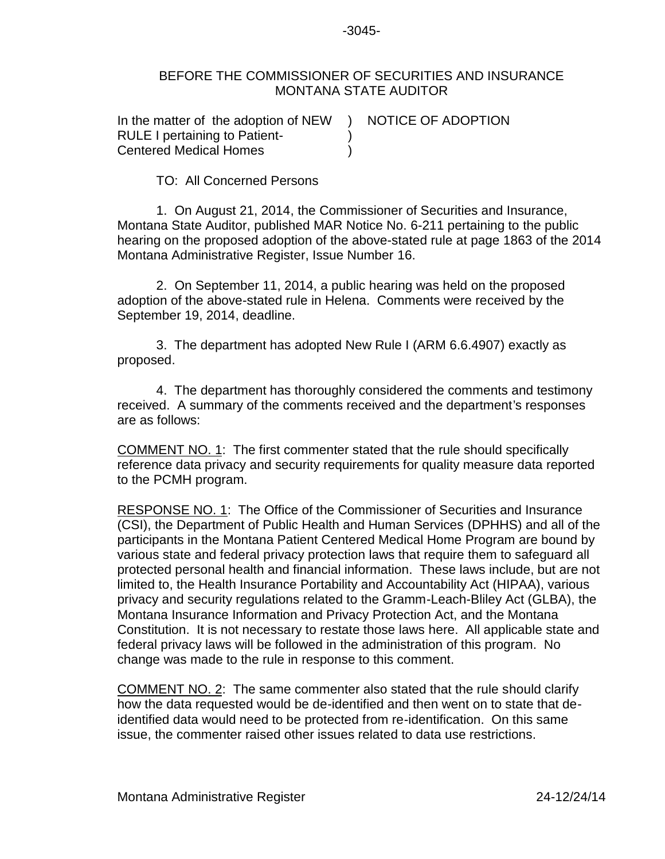-3045-

## BEFORE THE COMMISSIONER OF SECURITIES AND INSURANCE MONTANA STATE AUDITOR

| In the matter of the adoption of NEW | NOTICE OF ADOPTION |
|--------------------------------------|--------------------|
| <b>RULE I pertaining to Patient-</b> |                    |
| <b>Centered Medical Homes</b>        |                    |

TO: All Concerned Persons

1. On August 21, 2014, the Commissioner of Securities and Insurance, Montana State Auditor, published MAR Notice No. 6-211 pertaining to the public hearing on the proposed adoption of the above-stated rule at page 1863 of the 2014 Montana Administrative Register, Issue Number 16.

2. On September 11, 2014, a public hearing was held on the proposed adoption of the above-stated rule in Helena. Comments were received by the September 19, 2014, deadline.

3. The department has adopted New Rule I (ARM 6.6.4907) exactly as proposed.

4. The department has thoroughly considered the comments and testimony received. A summary of the comments received and the department's responses are as follows:

COMMENT NO. 1: The first commenter stated that the rule should specifically reference data privacy and security requirements for quality measure data reported to the PCMH program.

RESPONSE NO. 1: The Office of the Commissioner of Securities and Insurance (CSI), the Department of Public Health and Human Services (DPHHS) and all of the participants in the Montana Patient Centered Medical Home Program are bound by various state and federal privacy protection laws that require them to safeguard all protected personal health and financial information. These laws include, but are not limited to, the Health Insurance Portability and Accountability Act (HIPAA), various privacy and security regulations related to the Gramm-Leach-Bliley Act (GLBA), the Montana Insurance Information and Privacy Protection Act, and the Montana Constitution. It is not necessary to restate those laws here. All applicable state and federal privacy laws will be followed in the administration of this program. No change was made to the rule in response to this comment.

COMMENT NO. 2: The same commenter also stated that the rule should clarify how the data requested would be de-identified and then went on to state that deidentified data would need to be protected from re-identification. On this same issue, the commenter raised other issues related to data use restrictions.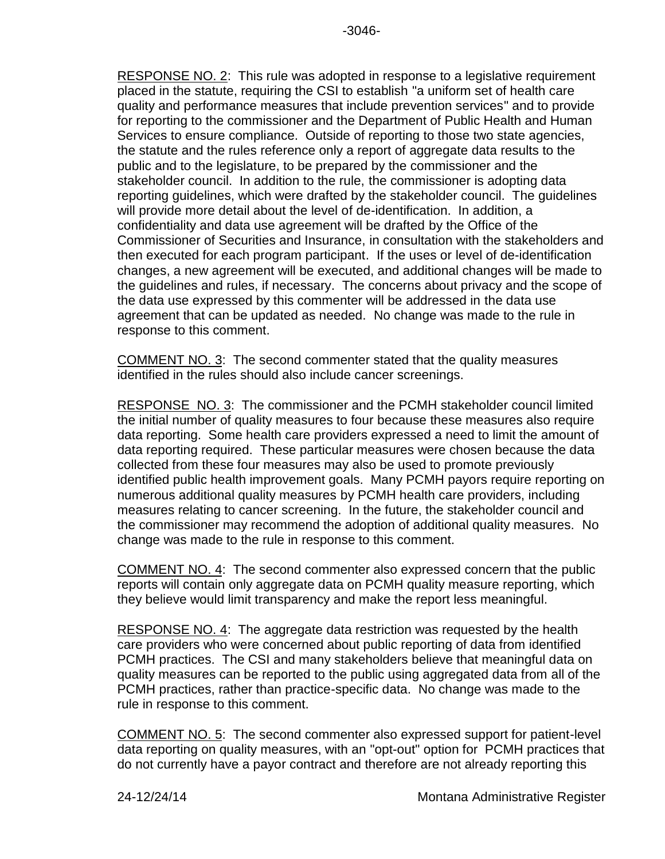RESPONSE NO. 2: This rule was adopted in response to a legislative requirement placed in the statute, requiring the CSI to establish "a uniform set of health care quality and performance measures that include prevention services" and to provide for reporting to the commissioner and the Department of Public Health and Human Services to ensure compliance. Outside of reporting to those two state agencies, the statute and the rules reference only a report of aggregate data results to the public and to the legislature, to be prepared by the commissioner and the stakeholder council. In addition to the rule, the commissioner is adopting data reporting guidelines, which were drafted by the stakeholder council. The guidelines will provide more detail about the level of de-identification. In addition, a confidentiality and data use agreement will be drafted by the Office of the Commissioner of Securities and Insurance, in consultation with the stakeholders and then executed for each program participant. If the uses or level of de-identification changes, a new agreement will be executed, and additional changes will be made to the guidelines and rules, if necessary. The concerns about privacy and the scope of the data use expressed by this commenter will be addressed in the data use agreement that can be updated as needed. No change was made to the rule in response to this comment.

COMMENT NO. 3: The second commenter stated that the quality measures identified in the rules should also include cancer screenings.

RESPONSE NO. 3: The commissioner and the PCMH stakeholder council limited the initial number of quality measures to four because these measures also require data reporting. Some health care providers expressed a need to limit the amount of data reporting required. These particular measures were chosen because the data collected from these four measures may also be used to promote previously identified public health improvement goals. Many PCMH payors require reporting on numerous additional quality measures by PCMH health care providers, including measures relating to cancer screening. In the future, the stakeholder council and the commissioner may recommend the adoption of additional quality measures. No change was made to the rule in response to this comment.

COMMENT NO. 4: The second commenter also expressed concern that the public reports will contain only aggregate data on PCMH quality measure reporting, which they believe would limit transparency and make the report less meaningful.

RESPONSE NO. 4: The aggregate data restriction was requested by the health care providers who were concerned about public reporting of data from identified PCMH practices. The CSI and many stakeholders believe that meaningful data on quality measures can be reported to the public using aggregated data from all of the PCMH practices, rather than practice-specific data. No change was made to the rule in response to this comment.

COMMENT NO. 5: The second commenter also expressed support for patient-level data reporting on quality measures, with an "opt-out" option for PCMH practices that do not currently have a payor contract and therefore are not already reporting this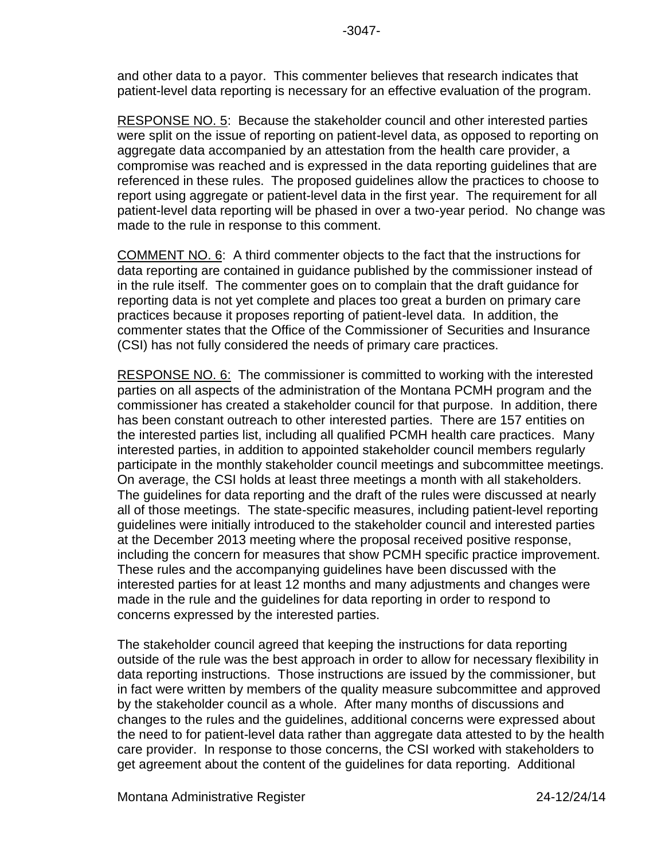and other data to a payor. This commenter believes that research indicates that patient-level data reporting is necessary for an effective evaluation of the program.

RESPONSE NO. 5: Because the stakeholder council and other interested parties were split on the issue of reporting on patient-level data, as opposed to reporting on aggregate data accompanied by an attestation from the health care provider, a compromise was reached and is expressed in the data reporting guidelines that are referenced in these rules. The proposed guidelines allow the practices to choose to report using aggregate or patient-level data in the first year. The requirement for all patient-level data reporting will be phased in over a two-year period. No change was made to the rule in response to this comment.

COMMENT NO. 6: A third commenter objects to the fact that the instructions for data reporting are contained in guidance published by the commissioner instead of in the rule itself. The commenter goes on to complain that the draft guidance for reporting data is not yet complete and places too great a burden on primary care practices because it proposes reporting of patient-level data. In addition, the commenter states that the Office of the Commissioner of Securities and Insurance (CSI) has not fully considered the needs of primary care practices.

RESPONSE NO. 6: The commissioner is committed to working with the interested parties on all aspects of the administration of the Montana PCMH program and the commissioner has created a stakeholder council for that purpose. In addition, there has been constant outreach to other interested parties. There are 157 entities on the interested parties list, including all qualified PCMH health care practices. Many interested parties, in addition to appointed stakeholder council members regularly participate in the monthly stakeholder council meetings and subcommittee meetings. On average, the CSI holds at least three meetings a month with all stakeholders. The guidelines for data reporting and the draft of the rules were discussed at nearly all of those meetings. The state-specific measures, including patient-level reporting guidelines were initially introduced to the stakeholder council and interested parties at the December 2013 meeting where the proposal received positive response, including the concern for measures that show PCMH specific practice improvement. These rules and the accompanying guidelines have been discussed with the interested parties for at least 12 months and many adjustments and changes were made in the rule and the guidelines for data reporting in order to respond to concerns expressed by the interested parties.

The stakeholder council agreed that keeping the instructions for data reporting outside of the rule was the best approach in order to allow for necessary flexibility in data reporting instructions. Those instructions are issued by the commissioner, but in fact were written by members of the quality measure subcommittee and approved by the stakeholder council as a whole. After many months of discussions and changes to the rules and the guidelines, additional concerns were expressed about the need to for patient-level data rather than aggregate data attested to by the health care provider. In response to those concerns, the CSI worked with stakeholders to get agreement about the content of the guidelines for data reporting. Additional

Montana Administrative Register 24-12/24/14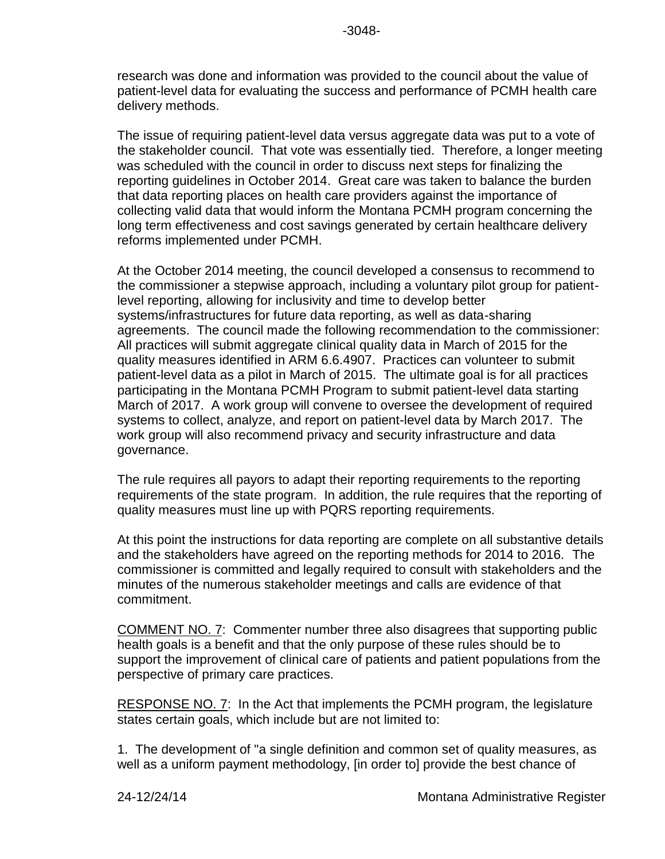research was done and information was provided to the council about the value of patient-level data for evaluating the success and performance of PCMH health care delivery methods.

The issue of requiring patient-level data versus aggregate data was put to a vote of the stakeholder council. That vote was essentially tied. Therefore, a longer meeting was scheduled with the council in order to discuss next steps for finalizing the reporting guidelines in October 2014. Great care was taken to balance the burden that data reporting places on health care providers against the importance of collecting valid data that would inform the Montana PCMH program concerning the long term effectiveness and cost savings generated by certain healthcare delivery reforms implemented under PCMH.

At the October 2014 meeting, the council developed a consensus to recommend to the commissioner a stepwise approach, including a voluntary pilot group for patientlevel reporting, allowing for inclusivity and time to develop better systems/infrastructures for future data reporting, as well as data-sharing agreements. The council made the following recommendation to the commissioner: All practices will submit aggregate clinical quality data in March of 2015 for the quality measures identified in ARM 6.6.4907. Practices can volunteer to submit patient-level data as a pilot in March of 2015. The ultimate goal is for all practices participating in the Montana PCMH Program to submit patient-level data starting March of 2017. A work group will convene to oversee the development of required systems to collect, analyze, and report on patient-level data by March 2017. The work group will also recommend privacy and security infrastructure and data governance.

The rule requires all payors to adapt their reporting requirements to the reporting requirements of the state program. In addition, the rule requires that the reporting of quality measures must line up with PQRS reporting requirements.

At this point the instructions for data reporting are complete on all substantive details and the stakeholders have agreed on the reporting methods for 2014 to 2016. The commissioner is committed and legally required to consult with stakeholders and the minutes of the numerous stakeholder meetings and calls are evidence of that commitment.

COMMENT NO. 7: Commenter number three also disagrees that supporting public health goals is a benefit and that the only purpose of these rules should be to support the improvement of clinical care of patients and patient populations from the perspective of primary care practices.

RESPONSE NO. 7: In the Act that implements the PCMH program, the legislature states certain goals, which include but are not limited to:

1. The development of "a single definition and common set of quality measures, as well as a uniform payment methodology, [in order to] provide the best chance of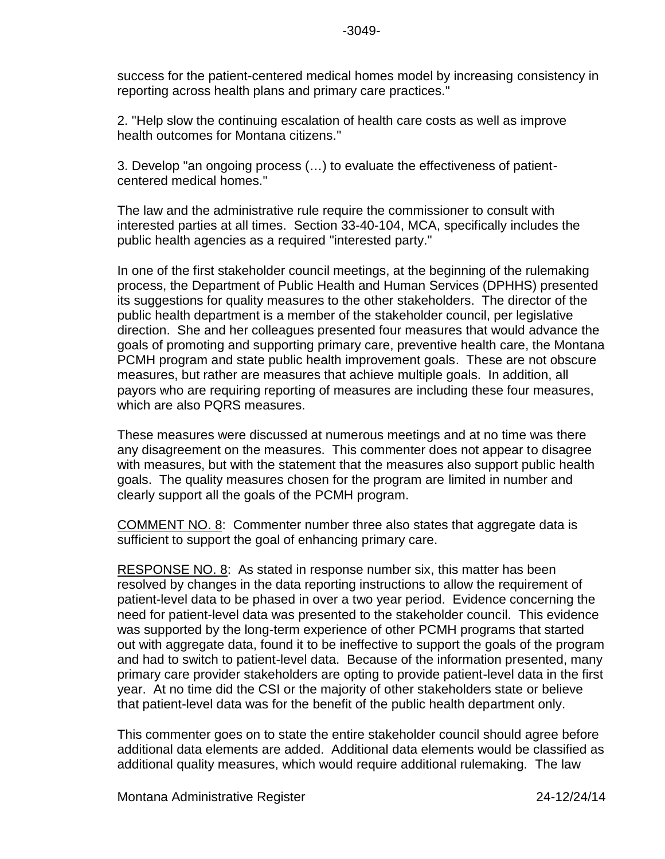success for the patient-centered medical homes model by increasing consistency in reporting across health plans and primary care practices."

2. "Help slow the continuing escalation of health care costs as well as improve health outcomes for Montana citizens."

3. Develop "an ongoing process (…) to evaluate the effectiveness of patient centered medical homes."

The law and the administrative rule require the commissioner to consult with interested parties at all times. Section 33-40-104, MCA, specifically includes the public health agencies as a required "interested party."

In one of the first stakeholder council meetings, at the beginning of the rulemaking process, the Department of Public Health and Human Services (DPHHS) presented its suggestions for quality measures to the other stakeholders. The director of the public health department is a member of the stakeholder council, per legislative direction. She and her colleagues presented four measures that would advance the goals of promoting and supporting primary care, preventive health care, the Montana PCMH program and state public health improvement goals. These are not obscure measures, but rather are measures that achieve multiple goals. In addition, all payors who are requiring reporting of measures are including these four measures, which are also PQRS measures.

These measures were discussed at numerous meetings and at no time was there any disagreement on the measures. This commenter does not appear to disagree with measures, but with the statement that the measures also support public health goals. The quality measures chosen for the program are limited in number and clearly support all the goals of the PCMH program.

COMMENT NO. 8: Commenter number three also states that aggregate data is sufficient to support the goal of enhancing primary care.

RESPONSE NO. 8: As stated in response number six, this matter has been resolved by changes in the data reporting instructions to allow the requirement of patient-level data to be phased in over a two year period. Evidence concerning the need for patient-level data was presented to the stakeholder council. This evidence was supported by the long-term experience of other PCMH programs that started out with aggregate data, found it to be ineffective to support the goals of the program and had to switch to patient-level data. Because of the information presented, many primary care provider stakeholders are opting to provide patient-level data in the first year. At no time did the CSI or the majority of other stakeholders state or believe that patient-level data was for the benefit of the public health department only.

This commenter goes on to state the entire stakeholder council should agree before additional data elements are added. Additional data elements would be classified as additional quality measures, which would require additional rulemaking. The law

Montana Administrative Register 24-12/24/14